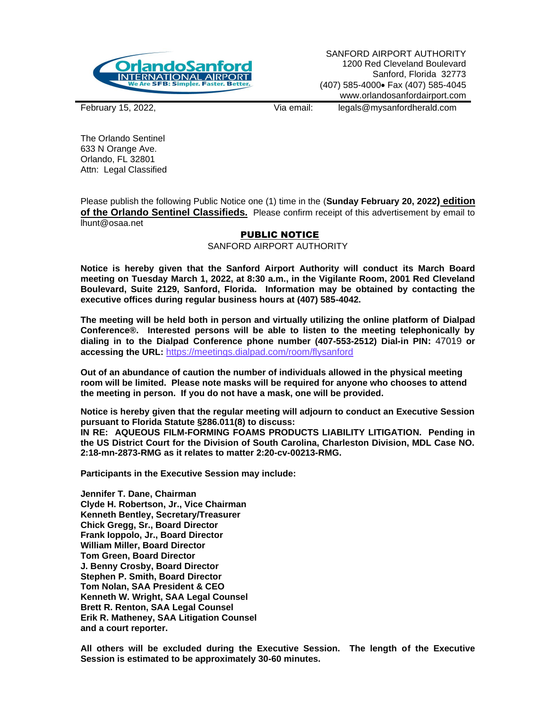

SANFORD AIRPORT AUTHORITY 1200 Red Cleveland Boulevard Sanford, Florida 32773 (407) 585-4000• Fax (407) 585-4045 www.orlandosanfordairport.com

February 15, 2022, Via email: legals@mysanfordherald.com

The Orlando Sentinel 633 N Orange Ave. Orlando, FL 32801 Attn: Legal Classified

Please publish the following Public Notice one (1) time in the (**Sunday February 20, 2022) edition of the Orlando Sentinel Classifieds.** Please confirm receipt of this advertisement by email to lhunt@osaa.net

## PUBLIC NOTICE

SANFORD AIRPORT AUTHORITY

**Notice is hereby given that the Sanford Airport Authority will conduct its March Board meeting on Tuesday March 1, 2022, at 8:30 a.m., in the Vigilante Room, 2001 Red Cleveland Boulevard, Suite 2129, Sanford, Florida. Information may be obtained by contacting the executive offices during regular business hours at (407) 585-4042.**

**The meeting will be held both in person and virtually utilizing the online platform of Dialpad Conference®. Interested persons will be able to listen to the meeting telephonically by dialing in to the Dialpad Conference phone number (407-553-2512) Dial-in PIN:** 47019 **or accessing the URL:** <https://meetings.dialpad.com/room/flysanford>

**Out of an abundance of caution the number of individuals allowed in the physical meeting room will be limited. Please note masks will be required for anyone who chooses to attend the meeting in person. If you do not have a mask, one will be provided.**

**Notice is hereby given that the regular meeting will adjourn to conduct an Executive Session pursuant to Florida Statute §286.011(8) to discuss: IN RE: AQUEOUS FILM-FORMING FOAMS PRODUCTS LIABILITY LITIGATION. Pending in** 

**the US District Court for the Division of South Carolina, Charleston Division, MDL Case NO. 2:18-mn-2873-RMG as it relates to matter 2:20-cv-00213-RMG.** 

**Participants in the Executive Session may include:**

**Jennifer T. Dane, Chairman Clyde H. Robertson, Jr., Vice Chairman Kenneth Bentley, Secretary/Treasurer Chick Gregg, Sr., Board Director Frank Ioppolo, Jr., Board Director William Miller, Board Director Tom Green, Board Director J. Benny Crosby, Board Director Stephen P. Smith, Board Director Tom Nolan, SAA President & CEO Kenneth W. Wright, SAA Legal Counsel Brett R. Renton, SAA Legal Counsel Erik R. Matheney, SAA Litigation Counsel and a court reporter.**

**All others will be excluded during the Executive Session. The length of the Executive Session is estimated to be approximately 30-60 minutes.**